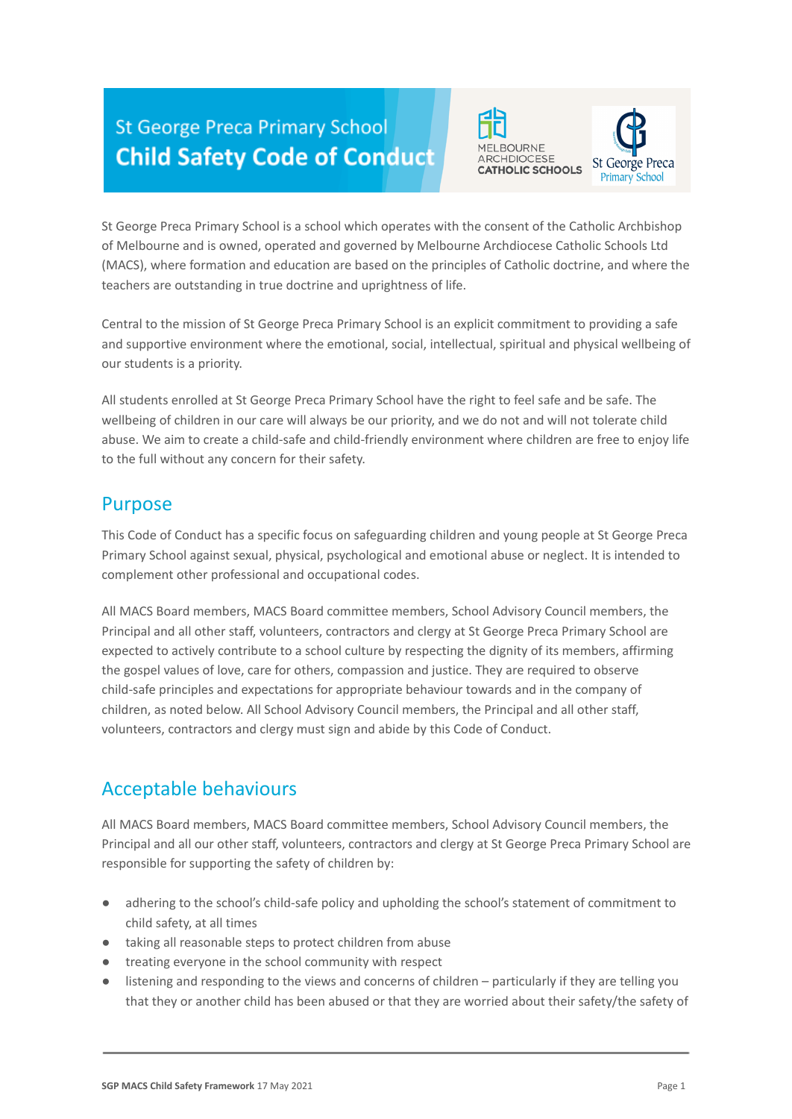# **St George Preca Primary School Child Safety Code of Conduct**





St George Preca Primary School is a school which operates with the consent of the Catholic Archbishop of Melbourne and is owned, operated and governed by Melbourne Archdiocese Catholic Schools Ltd (MACS), where formation and education are based on the principles of Catholic doctrine, and where the teachers are outstanding in true doctrine and uprightness of life.

Central to the mission of St George Preca Primary School is an explicit commitment to providing a safe and supportive environment where the emotional, social, intellectual, spiritual and physical wellbeing of our students is a priority.

All students enrolled at St George Preca Primary School have the right to feel safe and be safe. The wellbeing of children in our care will always be our priority, and we do not and will not tolerate child abuse. We aim to create a child-safe and child-friendly environment where children are free to enjoy life to the full without any concern for their safety.

#### Purpose

This Code of Conduct has a specific focus on safeguarding children and young people at St George Preca Primary School against sexual, physical, psychological and emotional abuse or neglect. It is intended to complement other professional and occupational codes.

All MACS Board members, MACS Board committee members, School Advisory Council members, the Principal and all other staff, volunteers, contractors and clergy at St George Preca Primary School are expected to actively contribute to a school culture by respecting the dignity of its members, affirming the gospel values of love, care for others, compassion and justice. They are required to observe child-safe principles and expectations for appropriate behaviour towards and in the company of children, as noted below. All School Advisory Council members, the Principal and all other staff, volunteers, contractors and clergy must sign and abide by this Code of Conduct.

# Acceptable behaviours

All MACS Board members, MACS Board committee members, School Advisory Council members, the Principal and all our other staff, volunteers, contractors and clergy at St George Preca Primary School are responsible for supporting the safety of children by:

- adhering to the school's child-safe policy and upholding the school's statement of commitment to child safety, at all times
- taking all reasonable steps to protect children from abuse
- treating everyone in the school community with respect
- listening and responding to the views and concerns of children particularly if they are telling you that they or another child has been abused or that they are worried about their safety/the safety of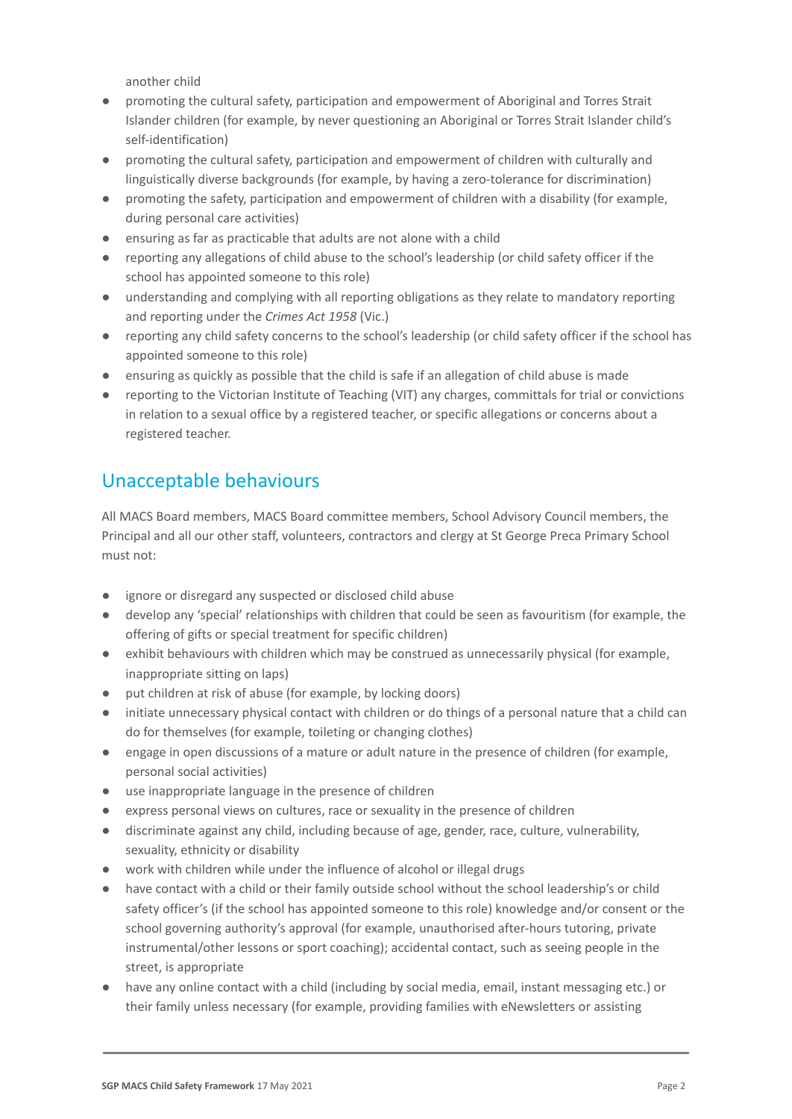another child

- promoting the cultural safety, participation and empowerment of Aboriginal and Torres Strait Islander children (for example, by never questioning an Aboriginal or Torres Strait Islander child's self-identification)
- promoting the cultural safety, participation and empowerment of children with culturally and linguistically diverse backgrounds (for example, by having a zero-tolerance for discrimination)
- promoting the safety, participation and empowerment of children with a disability (for example, during personal care activities)
- ensuring as far as practicable that adults are not alone with a child
- reporting any allegations of child abuse to the school's leadership (or child safety officer if the school has appointed someone to this role)
- understanding and complying with all reporting obligations as they relate to mandatory reporting and reporting under the *Crimes Act 1958* (Vic.)
- reporting any child safety concerns to the school's leadership (or child safety officer if the school has appointed someone to this role)
- ensuring as quickly as possible that the child is safe if an allegation of child abuse is made
- reporting to the Victorian Institute of Teaching (VIT) any charges, committals for trial or convictions in relation to a sexual office by a registered teacher, or specific allegations or concerns about a registered teacher.

## Unacceptable behaviours

All MACS Board members, MACS Board committee members, School Advisory Council members, the Principal and all our other staff, volunteers, contractors and clergy at St George Preca Primary School must not:

- ignore or disregard any suspected or disclosed child abuse
- develop any 'special' relationships with children that could be seen as favouritism (for example, the offering of gifts or special treatment for specific children)
- exhibit behaviours with children which may be construed as unnecessarily physical (for example, inappropriate sitting on laps)
- put children at risk of abuse (for example, by locking doors)
- initiate unnecessary physical contact with children or do things of a personal nature that a child can do for themselves (for example, toileting or changing clothes)
- engage in open discussions of a mature or adult nature in the presence of children (for example, personal social activities)
- use inappropriate language in the presence of children
- express personal views on cultures, race or sexuality in the presence of children
- discriminate against any child, including because of age, gender, race, culture, vulnerability, sexuality, ethnicity or disability
- work with children while under the influence of alcohol or illegal drugs
- have contact with a child or their family outside school without the school leadership's or child safety officer's (if the school has appointed someone to this role) knowledge and/or consent or the school governing authority's approval (for example, unauthorised after-hours tutoring, private instrumental/other lessons or sport coaching); accidental contact, such as seeing people in the street, is appropriate
- have any online contact with a child (including by social media, email, instant messaging etc.) or their family unless necessary (for example, providing families with eNewsletters or assisting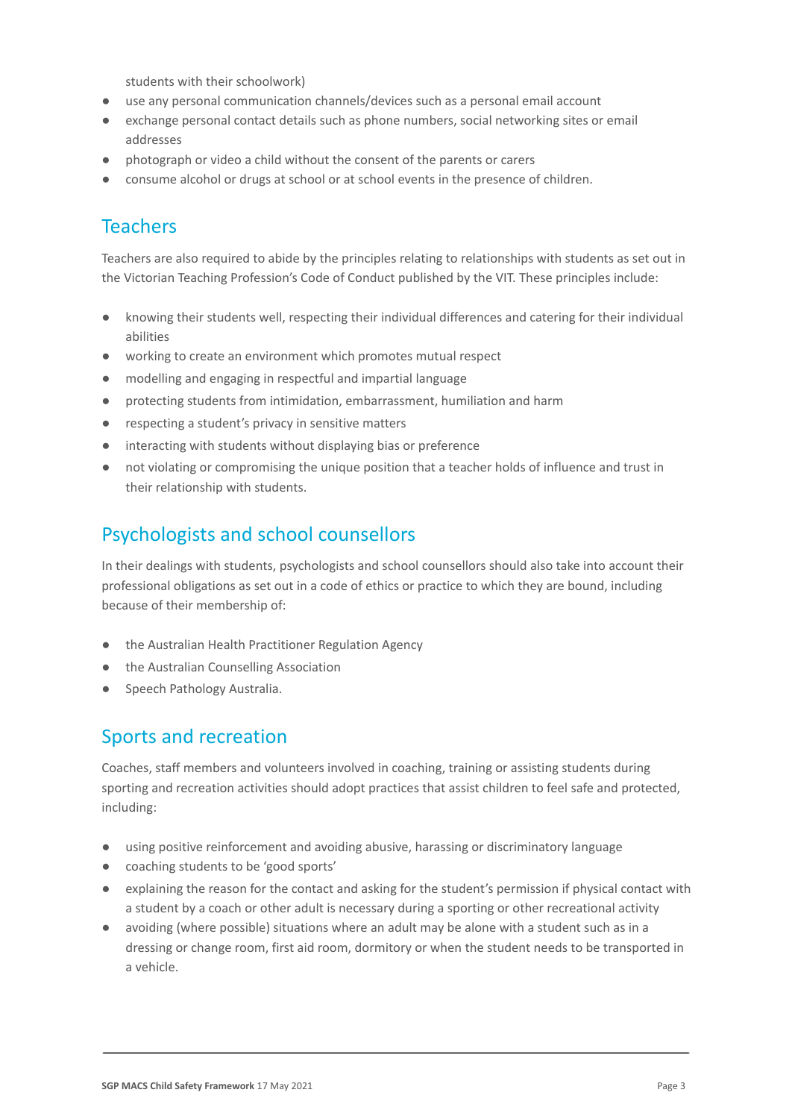students with their schoolwork)

- use any personal communication channels/devices such as a personal email account
- exchange personal contact details such as phone numbers, social networking sites or email addresses
- photograph or video a child without the consent of the parents or carers
- consume alcohol or drugs at school or at school events in the presence of children.

### **Teachers**

Teachers are also required to abide by the principles relating to relationships with students as set out in the Victorian Teaching Profession's Code of Conduct published by the VIT. These principles include:

- knowing their students well, respecting their individual differences and catering for their individual abilities
- working to create an environment which promotes mutual respect
- modelling and engaging in respectful and impartial language
- protecting students from intimidation, embarrassment, humiliation and harm
- respecting a student's privacy in sensitive matters
- interacting with students without displaying bias or preference
- not violating or compromising the unique position that a teacher holds of influence and trust in their relationship with students.

#### Psychologists and school counsellors

In their dealings with students, psychologists and school counsellors should also take into account their professional obligations as set out in a code of ethics or practice to which they are bound, including because of their membership of:

- the Australian Health Practitioner Regulation Agency
- the Australian Counselling Association
- Speech Pathology Australia.

#### Sports and recreation

Coaches, staff members and volunteers involved in coaching, training or assisting students during sporting and recreation activities should adopt practices that assist children to feel safe and protected, including:

- using positive reinforcement and avoiding abusive, harassing or discriminatory language
- coaching students to be 'good sports'
- explaining the reason for the contact and asking for the student's permission if physical contact with a student by a coach or other adult is necessary during a sporting or other recreational activity
- avoiding (where possible) situations where an adult may be alone with a student such as in a dressing or change room, first aid room, dormitory or when the student needs to be transported in a vehicle.